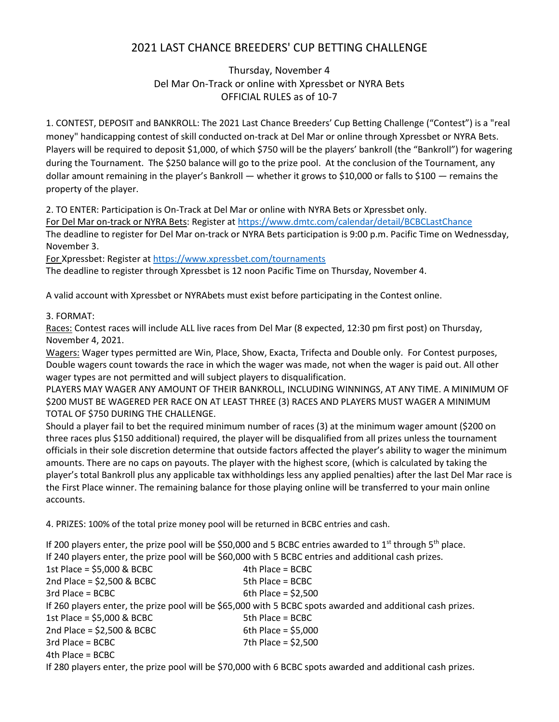## 2021 LAST CHANCE BREEDERS' CUP BETTING CHALLENGE

## Thursday, November 4 Del Mar On-Track or online with Xpressbet or NYRA Bets OFFICIAL RULES as of 10-7

1. CONTEST, DEPOSIT and BANKROLL: The 2021 Last Chance Breeders' Cup Betting Challenge ("Contest") is a "real money" handicapping contest of skill conducted on-track at Del Mar or online through Xpressbet or NYRA Bets. Players will be required to deposit \$1,000, of which \$750 will be the players' bankroll (the "Bankroll") for wagering during the Tournament. The \$250 balance will go to the prize pool. At the conclusion of the Tournament, any dollar amount remaining in the player's Bankroll — whether it grows to \$10,000 or falls to \$100 — remains the property of the player.

2. TO ENTER: Participation is On-Track at Del Mar or online with NYRA Bets or Xpressbet only.

For Del Mar on-track or NYRA Bets: Register at https://www.dmtc.com/calendar/detail/BCBCLastChance The deadline to register for Del Mar on-track or NYRA Bets participation is 9:00 p.m. Pacific Time on Wednessday, November 3.

For Xpressbet: Register at https://www.xpressbet.com/tournaments

The deadline to register through Xpressbet is 12 noon Pacific Time on Thursday, November 4.

A valid account with Xpressbet or NYRAbets must exist before participating in the Contest online.

## 3. FORMAT:

Races: Contest races will include ALL live races from Del Mar (8 expected, 12:30 pm first post) on Thursday, November 4, 2021.

Wagers: Wager types permitted are Win, Place, Show, Exacta, Trifecta and Double only. For Contest purposes, Double wagers count towards the race in which the wager was made, not when the wager is paid out. All other wager types are not permitted and will subject players to disqualification.

PLAYERS MAY WAGER ANY AMOUNT OF THEIR BANKROLL, INCLUDING WINNINGS, AT ANY TIME. A MINIMUM OF \$200 MUST BE WAGERED PER RACE ON AT LEAST THREE (3) RACES AND PLAYERS MUST WAGER A MINIMUM TOTAL OF \$750 DURING THE CHALLENGE.

Should a player fail to bet the required minimum number of races (3) at the minimum wager amount (\$200 on three races plus \$150 additional) required, the player will be disqualified from all prizes unless the tournament officials in their sole discretion determine that outside factors affected the player's ability to wager the minimum amounts. There are no caps on payouts. The player with the highest score, (which is calculated by taking the player's total Bankroll plus any applicable tax withholdings less any applied penalties) after the last Del Mar race is the First Place winner. The remaining balance for those playing online will be transferred to your main online accounts.

4. PRIZES: 100% of the total prize money pool will be returned in BCBC entries and cash.

If 200 players enter, the prize pool will be \$50,000 and 5 BCBC entries awarded to  $1<sup>st</sup>$  through 5<sup>th</sup> place. If 240 players enter, the prize pool will be \$60,000 with 5 BCBC entries and additional cash prizes.  $1st$  Place = \$5,000 & BCBC 4th Place = BCBC  $2nd$  Place = \$2,500 & BCBC 5th Place = BCBC  $3rd$  Place = BCBC 6th Place = \$2,500 If 260 players enter, the prize pool will be \$65,000 with 5 BCBC spots awarded and additional cash prizes.  $1st$  Place = \$5,000 & BCBC 5th Place = BCBC  $2nd$  Place = \$2,500 & BCBC 6th Place = \$5,000 3rd Place = BCBC 7th Place = \$2,500 4th Place = BCBC

If 280 players enter, the prize pool will be \$70,000 with 6 BCBC spots awarded and additional cash prizes.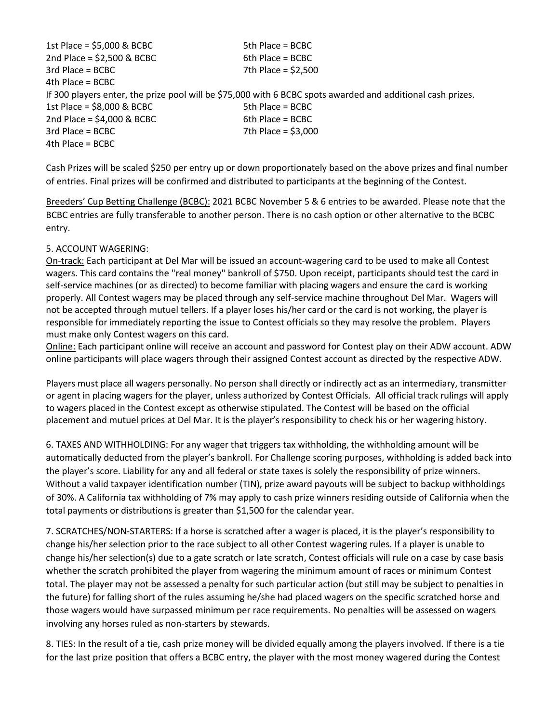$1st$  Place = \$5,000 & BCBC 5th Place = BCBC  $2nd$  Place = \$2,500 & BCBC 6th Place = BCBC 3rd Place = BCBC 7th Place = \$2,500  $4th$  Place = BCBC If 300 players enter, the prize pool will be \$75,000 with 6 BCBC spots awarded and additional cash prizes.  $1st$  Place = \$8,000 & BCBC 5th Place = BCBC  $2nd$  Place = \$4,000 & BCBC 6th Place = BCBC  $3rd$  Place = BCBC  $7th$  Place = \$3,000 4th Place = BCBC

Cash Prizes will be scaled \$250 per entry up or down proportionately based on the above prizes and final number of entries. Final prizes will be confirmed and distributed to participants at the beginning of the Contest.

Breeders' Cup Betting Challenge (BCBC): 2021 BCBC November 5 & 6 entries to be awarded. Please note that the BCBC entries are fully transferable to another person. There is no cash option or other alternative to the BCBC entry.

## 5. ACCOUNT WAGERING:

On-track: Each participant at Del Mar will be issued an account-wagering card to be used to make all Contest wagers. This card contains the "real money" bankroll of \$750. Upon receipt, participants should test the card in self-service machines (or as directed) to become familiar with placing wagers and ensure the card is working properly. All Contest wagers may be placed through any self-service machine throughout Del Mar. Wagers will not be accepted through mutuel tellers. If a player loses his/her card or the card is not working, the player is responsible for immediately reporting the issue to Contest officials so they may resolve the problem. Players must make only Contest wagers on this card.

Online: Each participant online will receive an account and password for Contest play on their ADW account. ADW online participants will place wagers through their assigned Contest account as directed by the respective ADW.

Players must place all wagers personally. No person shall directly or indirectly act as an intermediary, transmitter or agent in placing wagers for the player, unless authorized by Contest Officials. All official track rulings will apply to wagers placed in the Contest except as otherwise stipulated. The Contest will be based on the official placement and mutuel prices at Del Mar. It is the player's responsibility to check his or her wagering history.

6. TAXES AND WITHHOLDING: For any wager that triggers tax withholding, the withholding amount will be automatically deducted from the player's bankroll. For Challenge scoring purposes, withholding is added back into the player's score. Liability for any and all federal or state taxes is solely the responsibility of prize winners. Without a valid taxpayer identification number (TIN), prize award payouts will be subject to backup withholdings of 30%. A California tax withholding of 7% may apply to cash prize winners residing outside of California when the total payments or distributions is greater than \$1,500 for the calendar year.

7. SCRATCHES/NON-STARTERS: If a horse is scratched after a wager is placed, it is the player's responsibility to change his/her selection prior to the race subject to all other Contest wagering rules. If a player is unable to change his/her selection(s) due to a gate scratch or late scratch, Contest officials will rule on a case by case basis whether the scratch prohibited the player from wagering the minimum amount of races or minimum Contest total. The player may not be assessed a penalty for such particular action (but still may be subject to penalties in the future) for falling short of the rules assuming he/she had placed wagers on the specific scratched horse and those wagers would have surpassed minimum per race requirements. No penalties will be assessed on wagers involving any horses ruled as non-starters by stewards.

8. TIES: In the result of a tie, cash prize money will be divided equally among the players involved. If there is a tie for the last prize position that offers a BCBC entry, the player with the most money wagered during the Contest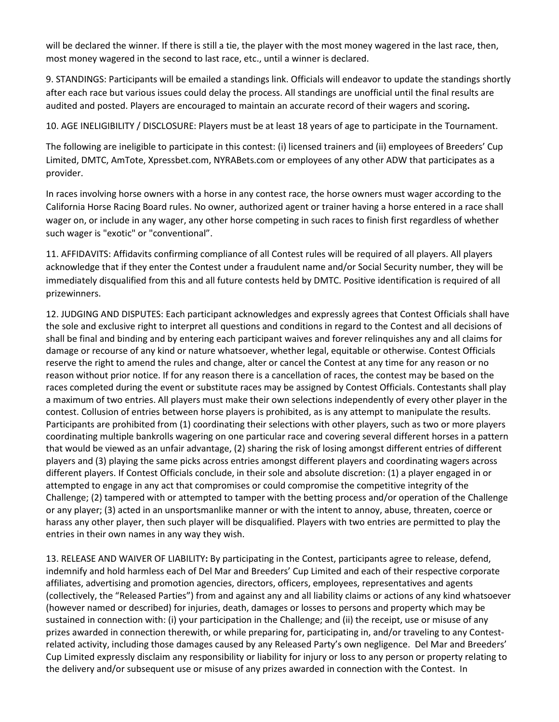will be declared the winner. If there is still a tie, the player with the most money wagered in the last race, then, most money wagered in the second to last race, etc., until a winner is declared.

9. STANDINGS: Participants will be emailed a standings link. Officials will endeavor to update the standings shortly after each race but various issues could delay the process. All standings are unofficial until the final results are audited and posted. Players are encouraged to maintain an accurate record of their wagers and scoring**.**

10. AGE INELIGIBILITY / DISCLOSURE: Players must be at least 18 years of age to participate in the Tournament.

The following are ineligible to participate in this contest: (i) licensed trainers and (ii) employees of Breeders' Cup Limited, DMTC, AmTote, Xpressbet.com, NYRABets.com or employees of any other ADW that participates as a provider.

In races involving horse owners with a horse in any contest race, the horse owners must wager according to the California Horse Racing Board rules. No owner, authorized agent or trainer having a horse entered in a race shall wager on, or include in any wager, any other horse competing in such races to finish first regardless of whether such wager is "exotic" or "conventional".

11. AFFIDAVITS: Affidavits confirming compliance of all Contest rules will be required of all players. All players acknowledge that if they enter the Contest under a fraudulent name and/or Social Security number, they will be immediately disqualified from this and all future contests held by DMTC. Positive identification is required of all prizewinners.

12. JUDGING AND DISPUTES: Each participant acknowledges and expressly agrees that Contest Officials shall have the sole and exclusive right to interpret all questions and conditions in regard to the Contest and all decisions of shall be final and binding and by entering each participant waives and forever relinquishes any and all claims for damage or recourse of any kind or nature whatsoever, whether legal, equitable or otherwise. Contest Officials reserve the right to amend the rules and change, alter or cancel the Contest at any time for any reason or no reason without prior notice. If for any reason there is a cancellation of races, the contest may be based on the races completed during the event or substitute races may be assigned by Contest Officials. Contestants shall play a maximum of two entries. All players must make their own selections independently of every other player in the contest. Collusion of entries between horse players is prohibited, as is any attempt to manipulate the results. Participants are prohibited from (1) coordinating their selections with other players, such as two or more players coordinating multiple bankrolls wagering on one particular race and covering several different horses in a pattern that would be viewed as an unfair advantage, (2) sharing the risk of losing amongst different entries of different players and (3) playing the same picks across entries amongst different players and coordinating wagers across different players. If Contest Officials conclude, in their sole and absolute discretion: (1) a player engaged in or attempted to engage in any act that compromises or could compromise the competitive integrity of the Challenge; (2) tampered with or attempted to tamper with the betting process and/or operation of the Challenge or any player; (3) acted in an unsportsmanlike manner or with the intent to annoy, abuse, threaten, coerce or harass any other player, then such player will be disqualified. Players with two entries are permitted to play the entries in their own names in any way they wish.

13. RELEASE AND WAIVER OF LIABILITY**:** By participating in the Contest, participants agree to release, defend, indemnify and hold harmless each of Del Mar and Breeders' Cup Limited and each of their respective corporate affiliates, advertising and promotion agencies, directors, officers, employees, representatives and agents (collectively, the "Released Parties") from and against any and all liability claims or actions of any kind whatsoever (however named or described) for injuries, death, damages or losses to persons and property which may be sustained in connection with: (i) your participation in the Challenge; and (ii) the receipt, use or misuse of any prizes awarded in connection therewith, or while preparing for, participating in, and/or traveling to any Contestrelated activity, including those damages caused by any Released Party's own negligence. Del Mar and Breeders' Cup Limited expressly disclaim any responsibility or liability for injury or loss to any person or property relating to the delivery and/or subsequent use or misuse of any prizes awarded in connection with the Contest. In